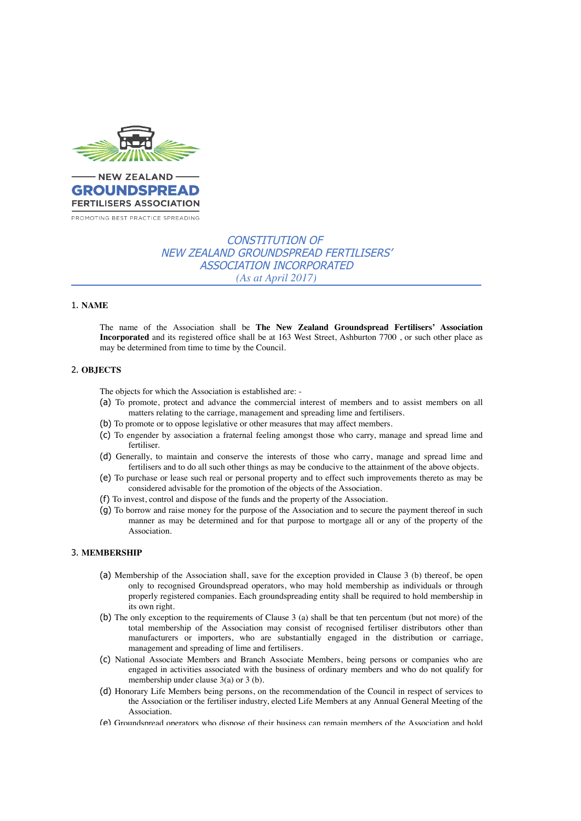

# CONSTITUTION OF NEW ZEALAND GROUNDSPREAD FERTILISERS' ASSOCIATION INCORPORATED *(As at April 2017)*

#### 1. **NAME**

The name of the Association shall be **The New Zealand Groundspread Fertilisers' Association Incorporated** and its registered office shall be at 163 West Street, Ashburton 7700 , or such other place as may be determined from time to time by the Council.

## 2. **OBJECTS**

The objects for which the Association is established are: -

- (a) To promote, protect and advance the commercial interest of members and to assist members on all matters relating to the carriage, management and spreading lime and fertilisers.
- (b) To promote or to oppose legislative or other measures that may affect members.
- (c) To engender by association a fraternal feeling amongst those who carry, manage and spread lime and fertiliser.
- (d) Generally, to maintain and conserve the interests of those who carry, manage and spread lime and fertilisers and to do all such other things as may be conducive to the attainment of the above objects.
- (e) To purchase or lease such real or personal property and to effect such improvements thereto as may be considered advisable for the promotion of the objects of the Association.
- (f) To invest, control and dispose of the funds and the property of the Association.
- (g) To borrow and raise money for the purpose of the Association and to secure the payment thereof in such manner as may be determined and for that purpose to mortgage all or any of the property of the Association.

## 3. **MEMBERSHIP**

- (a) Membership of the Association shall, save for the exception provided in Clause 3 (b) thereof, be open only to recognised Groundspread operators, who may hold membership as individuals or through properly registered companies. Each groundspreading entity shall be required to hold membership in its own right.
- (b) The only exception to the requirements of Clause 3 (a) shall be that ten percentum (but not more) of the total membership of the Association may consist of recognised fertiliser distributors other than manufacturers or importers, who are substantially engaged in the distribution or carriage, management and spreading of lime and fertilisers.
- (c) National Associate Members and Branch Associate Members, being persons or companies who are engaged in activities associated with the business of ordinary members and who do not qualify for membership under clause 3(a) or 3 (b).
- (d) Honorary Life Members being persons, on the recommendation of the Council in respect of services to the Association or the fertiliser industry, elected Life Members at any Annual General Meeting of the Association.
- (e) Groundspread operators who dispose of their business can remain members of the Association and hold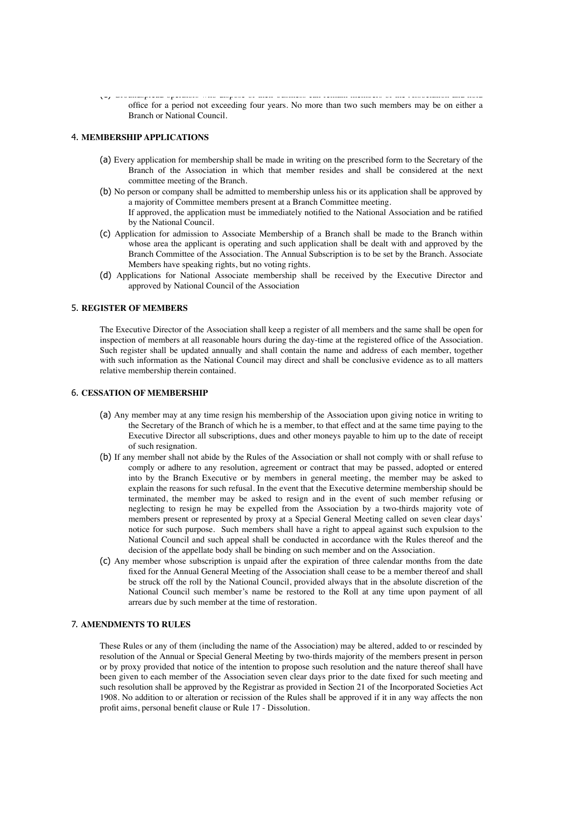(e) Groundspread operators who dispose of their business can remain members of the Association and hold office for a period not exceeding four years. No more than two such members may be on either a Branch or National Council.

## 4. **MEMBERSHIP APPLICATIONS**

- (a) Every application for membership shall be made in writing on the prescribed form to the Secretary of the Branch of the Association in which that member resides and shall be considered at the next committee meeting of the Branch.
- (b) No person or company shall be admitted to membership unless his or its application shall be approved by a majority of Committee members present at a Branch Committee meeting. If approved, the application must be immediately notified to the National Association and be ratified by the National Council.
- (c) Application for admission to Associate Membership of a Branch shall be made to the Branch within whose area the applicant is operating and such application shall be dealt with and approved by the Branch Committee of the Association. The Annual Subscription is to be set by the Branch. Associate Members have speaking rights, but no voting rights.
- (d) Applications for National Associate membership shall be received by the Executive Director and approved by National Council of the Association

## 5. **REGISTER OF MEMBERS**

The Executive Director of the Association shall keep a register of all members and the same shall be open for inspection of members at all reasonable hours during the day-time at the registered office of the Association. Such register shall be updated annually and shall contain the name and address of each member, together with such information as the National Council may direct and shall be conclusive evidence as to all matters relative membership therein contained.

## 6. **CESSATION OF MEMBERSHIP**

- (a) Any member may at any time resign his membership of the Association upon giving notice in writing to the Secretary of the Branch of which he is a member, to that effect and at the same time paying to the Executive Director all subscriptions, dues and other moneys payable to him up to the date of receipt of such resignation.
- (b) If any member shall not abide by the Rules of the Association or shall not comply with or shall refuse to comply or adhere to any resolution, agreement or contract that may be passed, adopted or entered into by the Branch Executive or by members in general meeting, the member may be asked to explain the reasons for such refusal. In the event that the Executive determine membership should be terminated, the member may be asked to resign and in the event of such member refusing or neglecting to resign he may be expelled from the Association by a two-thirds majority vote of members present or represented by proxy at a Special General Meeting called on seven clear days' notice for such purpose. Such members shall have a right to appeal against such expulsion to the National Council and such appeal shall be conducted in accordance with the Rules thereof and the decision of the appellate body shall be binding on such member and on the Association.
- (c) Any member whose subscription is unpaid after the expiration of three calendar months from the date fixed for the Annual General Meeting of the Association shall cease to be a member thereof and shall be struck off the roll by the National Council, provided always that in the absolute discretion of the National Council such member's name be restored to the Roll at any time upon payment of all arrears due by such member at the time of restoration.

## 7. **AMENDMENTS TO RULES**

These Rules or any of them (including the name of the Association) may be altered, added to or rescinded by resolution of the Annual or Special General Meeting by two-thirds majority of the members present in person or by proxy provided that notice of the intention to propose such resolution and the nature thereof shall have been given to each member of the Association seven clear days prior to the date fixed for such meeting and such resolution shall be approved by the Registrar as provided in Section 21 of the Incorporated Societies Act 1908. No addition to or alteration or recission of the Rules shall be approved if it in any way affects the non profit aims, personal benefit clause or Rule 17 - Dissolution.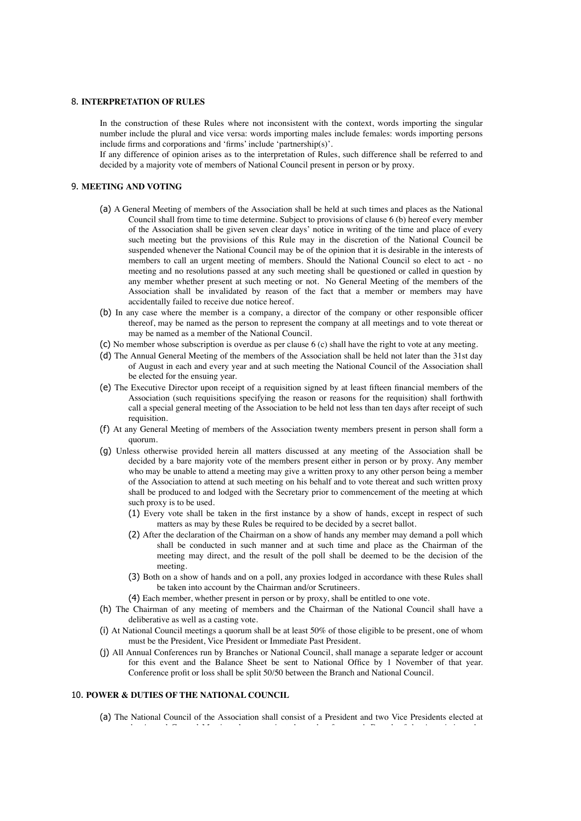## 8. **INTERPRETATION OF RULES**

In the construction of these Rules where not inconsistent with the context, words importing the singular number include the plural and vice versa: words importing males include females: words importing persons include firms and corporations and 'firms' include 'partnership(s)'.

If any difference of opinion arises as to the interpretation of Rules, such difference shall be referred to and decided by a majority vote of members of National Council present in person or by proxy.

## 9. **MEETING AND VOTING**

- (a) A General Meeting of members of the Association shall be held at such times and places as the National Council shall from time to time determine. Subject to provisions of clause 6 (b) hereof every member of the Association shall be given seven clear days' notice in writing of the time and place of every such meeting but the provisions of this Rule may in the discretion of the National Council be suspended whenever the National Council may be of the opinion that it is desirable in the interests of members to call an urgent meeting of members. Should the National Council so elect to act - no meeting and no resolutions passed at any such meeting shall be questioned or called in question by any member whether present at such meeting or not. No General Meeting of the members of the Association shall be invalidated by reason of the fact that a member or members may have accidentally failed to receive due notice hereof.
- (b) In any case where the member is a company, a director of the company or other responsible officer thereof, may be named as the person to represent the company at all meetings and to vote thereat or may be named as a member of the National Council.
- (c) No member whose subscription is overdue as per clause 6 (c) shall have the right to vote at any meeting.
- (d) The Annual General Meeting of the members of the Association shall be held not later than the 31st day of August in each and every year and at such meeting the National Council of the Association shall be elected for the ensuing year.
- (e) The Executive Director upon receipt of a requisition signed by at least fifteen financial members of the Association (such requisitions specifying the reason or reasons for the requisition) shall forthwith call a special general meeting of the Association to be held not less than ten days after receipt of such requisition.
- (f) At any General Meeting of members of the Association twenty members present in person shall form a quorum.
- (g) Unless otherwise provided herein all matters discussed at any meeting of the Association shall be decided by a bare majority vote of the members present either in person or by proxy. Any member who may be unable to attend a meeting may give a written proxy to any other person being a member of the Association to attend at such meeting on his behalf and to vote thereat and such written proxy shall be produced to and lodged with the Secretary prior to commencement of the meeting at which such proxy is to be used.
	- (1) Every vote shall be taken in the first instance by a show of hands, except in respect of such matters as may by these Rules be required to be decided by a secret ballot.
	- (2) After the declaration of the Chairman on a show of hands any member may demand a poll which shall be conducted in such manner and at such time and place as the Chairman of the meeting may direct, and the result of the poll shall be deemed to be the decision of the meeting.
	- (3) Both on a show of hands and on a poll, any proxies lodged in accordance with these Rules shall be taken into account by the Chairman and/or Scrutineers.
	- (4) Each member, whether present in person or by proxy, shall be entitled to one vote.
- (h) The Chairman of any meeting of members and the Chairman of the National Council shall have a deliberative as well as a casting vote.
- (i) At National Council meetings a quorum shall be at least 50% of those eligible to be present, one of whom must be the President, Vice President or Immediate Past President.
- (j) All Annual Conferences run by Branches or National Council, shall manage a separate ledger or account for this event and the Balance Sheet be sent to National Office by 1 November of that year. Conference profit or loss shall be split 50/50 between the Branch and National Council.

#### 10. **POWER & DUTIES OF THE NATIONAL COUNCIL**

(a) The National Council of the Association shall consist of a President and two Vice Presidents elected at

the Annual General Meeting plus a nominated member from each Branch of the Association who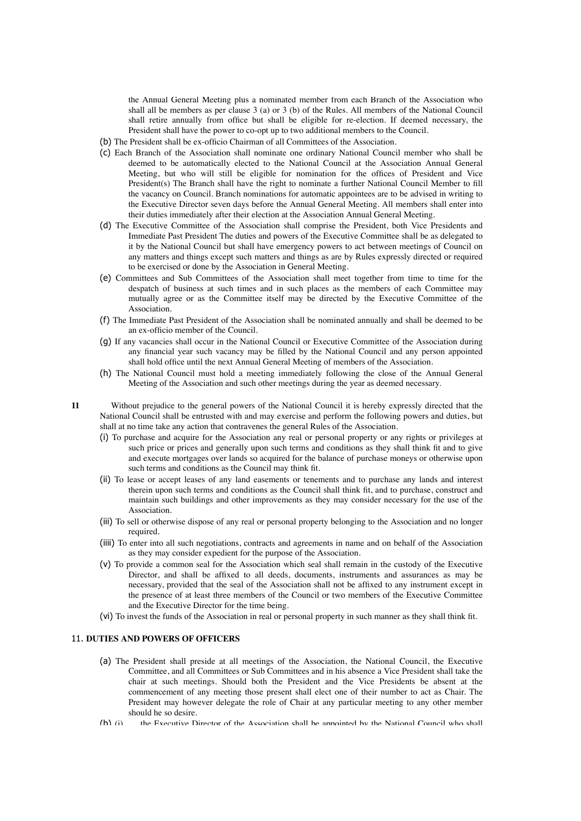the Annual General Meeting plus a nominated member from each Branch of the Association who shall all be members as per clause 3 (a) or 3 (b) of the Rules. All members of the National Council shall retire annually from office but shall be eligible for re-election. If deemed necessary, the President shall have the power to co-opt up to two additional members to the Council.

- (b) The President shall be ex-officio Chairman of all Committees of the Association.
- (c) Each Branch of the Association shall nominate one ordinary National Council member who shall be deemed to be automatically elected to the National Council at the Association Annual General Meeting, but who will still be eligible for nomination for the offices of President and Vice President(s) The Branch shall have the right to nominate a further National Council Member to fill the vacancy on Council. Branch nominations for automatic appointees are to be advised in writing to the Executive Director seven days before the Annual General Meeting. All members shall enter into their duties immediately after their election at the Association Annual General Meeting.
- (d) The Executive Committee of the Association shall comprise the President, both Vice Presidents and Immediate Past President The duties and powers of the Executive Committee shall be as delegated to it by the National Council but shall have emergency powers to act between meetings of Council on any matters and things except such matters and things as are by Rules expressly directed or required to be exercised or done by the Association in General Meeting.
- (e) Committees and Sub Committees of the Association shall meet together from time to time for the despatch of business at such times and in such places as the members of each Committee may mutually agree or as the Committee itself may be directed by the Executive Committee of the Association.
- (f) The Immediate Past President of the Association shall be nominated annually and shall be deemed to be an ex-officio member of the Council.
- (g) If any vacancies shall occur in the National Council or Executive Committee of the Association during any financial year such vacancy may be filled by the National Council and any person appointed shall hold office until the next Annual General Meeting of members of the Association.
- (h) The National Council must hold a meeting immediately following the close of the Annual General Meeting of the Association and such other meetings during the year as deemed necessary.

**11** Without prejudice to the general powers of the National Council it is hereby expressly directed that the National Council shall be entrusted with and may exercise and perform the following powers and duties, but shall at no time take any action that contravenes the general Rules of the Association.

- (i) To purchase and acquire for the Association any real or personal property or any rights or privileges at such price or prices and generally upon such terms and conditions as they shall think fit and to give and execute mortgages over lands so acquired for the balance of purchase moneys or otherwise upon such terms and conditions as the Council may think fit.
- (ii) To lease or accept leases of any land easements or tenements and to purchase any lands and interest therein upon such terms and conditions as the Council shall think fit, and to purchase, construct and maintain such buildings and other improvements as they may consider necessary for the use of the Association.
- (iii) To sell or otherwise dispose of any real or personal property belonging to the Association and no longer required.
- (iiii) To enter into all such negotiations, contracts and agreements in name and on behalf of the Association as they may consider expedient for the purpose of the Association.
- (v) To provide a common seal for the Association which seal shall remain in the custody of the Executive Director, and shall be affixed to all deeds, documents, instruments and assurances as may be necessary, provided that the seal of the Association shall not be affixed to any instrument except in the presence of at least three members of the Council or two members of the Executive Committee and the Executive Director for the time being.
- (vi) To invest the funds of the Association in real or personal property in such manner as they shall think fit.

## 11. **DUTIES AND POWERS OF OFFICERS**

- (a) The President shall preside at all meetings of the Association, the National Council, the Executive Committee, and all Committees or Sub Committees and in his absence a Vice President shall take the chair at such meetings. Should both the President and the Vice Presidents be absent at the commencement of any meeting those present shall elect one of their number to act as Chair. The President may however delegate the role of Chair at any particular meeting to any other member should he so desire.
- (b) (i) the Executive Director of the Association shall be annointed by the National Council who shall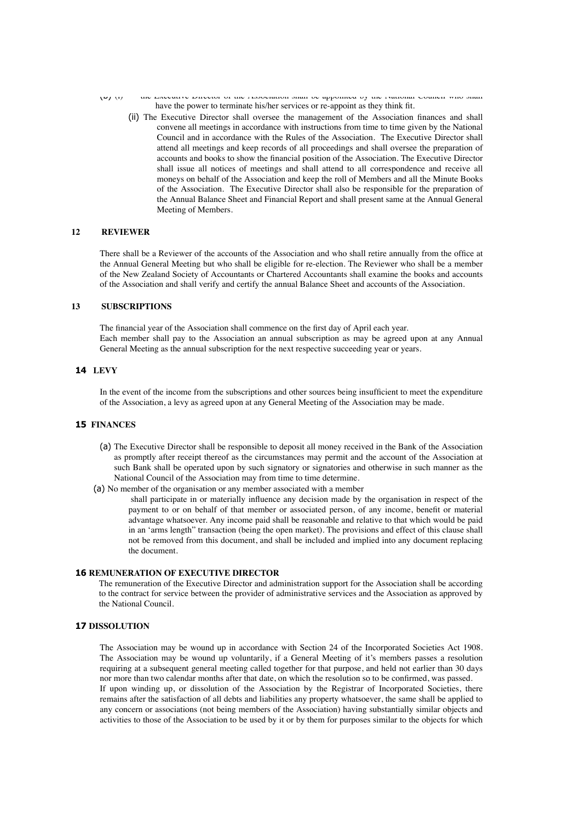- (b) (i) the Executive Director of the Association shall be appointed by the National Council who shall have the power to terminate his/her services or re-appoint as they think fit.
	- (ii) The Executive Director shall oversee the management of the Association finances and shall convene all meetings in accordance with instructions from time to time given by the National Council and in accordance with the Rules of the Association. The Executive Director shall attend all meetings and keep records of all proceedings and shall oversee the preparation of accounts and books to show the financial position of the Association. The Executive Director shall issue all notices of meetings and shall attend to all correspondence and receive all moneys on behalf of the Association and keep the roll of Members and all the Minute Books of the Association. The Executive Director shall also be responsible for the preparation of the Annual Balance Sheet and Financial Report and shall present same at the Annual General Meeting of Members.

## **12 REVIEWER**

There shall be a Reviewer of the accounts of the Association and who shall retire annually from the office at the Annual General Meeting but who shall be eligible for re-election. The Reviewer who shall be a member of the New Zealand Society of Accountants or Chartered Accountants shall examine the books and accounts of the Association and shall verify and certify the annual Balance Sheet and accounts of the Association.

#### **13 SUBSCRIPTIONS**

The financial year of the Association shall commence on the first day of April each year. Each member shall pay to the Association an annual subscription as may be agreed upon at any Annual General Meeting as the annual subscription for the next respective succeeding year or years.

## **14 LEVY**

In the event of the income from the subscriptions and other sources being insufficient to meet the expenditure of the Association, a levy as agreed upon at any General Meeting of the Association may be made.

## **15 FINANCES**

- (a) The Executive Director shall be responsible to deposit all money received in the Bank of the Association as promptly after receipt thereof as the circumstances may permit and the account of the Association at such Bank shall be operated upon by such signatory or signatories and otherwise in such manner as the National Council of the Association may from time to time determine.
- (a) No member of the organisation or any member associated with a member

shall participate in or materially influence any decision made by the organisation in respect of the payment to or on behalf of that member or associated person, of any income, benefit or material advantage whatsoever. Any income paid shall be reasonable and relative to that which would be paid in an 'arms length" transaction (being the open market). The provisions and effect of this clause shall not be removed from this document, and shall be included and implied into any document replacing the document.

### **16 REMUNERATION OF EXECUTIVE DIRECTOR**

The remuneration of the Executive Director and administration support for the Association shall be according to the contract for service between the provider of administrative services and the Association as approved by the National Council.

## **17 DISSOLUTION**

The Association may be wound up in accordance with Section 24 of the Incorporated Societies Act 1908. The Association may be wound up voluntarily, if a General Meeting of it's members passes a resolution requiring at a subsequent general meeting called together for that purpose, and held not earlier than 30 days nor more than two calendar months after that date, on which the resolution so to be confirmed, was passed. If upon winding up, or dissolution of the Association by the Registrar of Incorporated Societies, there remains after the satisfaction of all debts and liabilities any property whatsoever, the same shall be applied to any concern or associations (not being members of the Association) having substantially similar objects and activities to those of the Association to be used by it or by them for purposes similar to the objects for which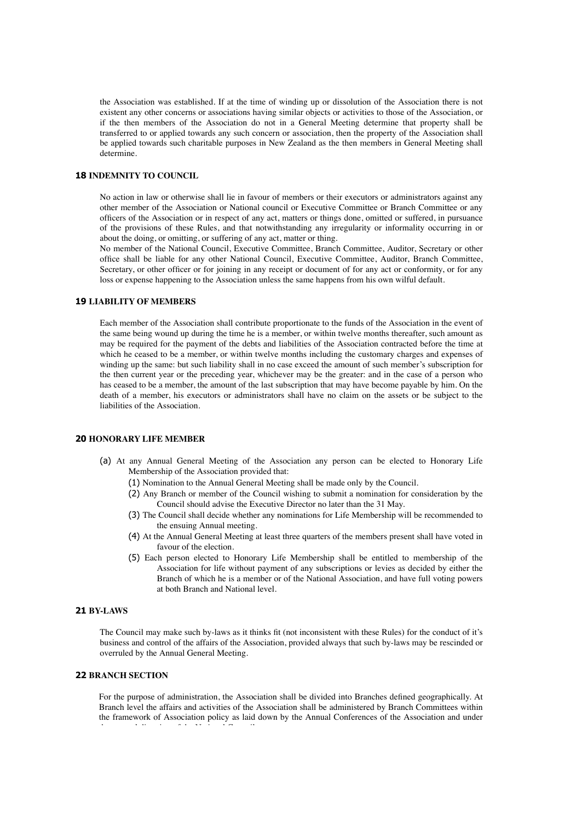the Association was established. If at the time of winding up or dissolution of the Association there is not existent any other concerns or associations having similar objects or activities to those of the Association, or if the then members of the Association do not in a General Meeting determine that property shall be transferred to or applied towards any such concern or association, then the property of the Association shall be applied towards such charitable purposes in New Zealand as the then members in General Meeting shall determine.

## **18 INDEMNITY TO COUNCIL**

No action in law or otherwise shall lie in favour of members or their executors or administrators against any other member of the Association or National council or Executive Committee or Branch Committee or any officers of the Association or in respect of any act, matters or things done, omitted or suffered, in pursuance of the provisions of these Rules, and that notwithstanding any irregularity or informality occurring in or about the doing, or omitting, or suffering of any act, matter or thing.

No member of the National Council, Executive Committee, Branch Committee, Auditor, Secretary or other office shall be liable for any other National Council, Executive Committee, Auditor, Branch Committee, Secretary, or other officer or for joining in any receipt or document of for any act or conformity, or for any loss or expense happening to the Association unless the same happens from his own wilful default.

#### **19 LIABILITY OF MEMBERS**

Each member of the Association shall contribute proportionate to the funds of the Association in the event of the same being wound up during the time he is a member, or within twelve months thereafter, such amount as may be required for the payment of the debts and liabilities of the Association contracted before the time at which he ceased to be a member, or within twelve months including the customary charges and expenses of winding up the same: but such liability shall in no case exceed the amount of such member's subscription for the then current year or the preceding year, whichever may be the greater: and in the case of a person who has ceased to be a member, the amount of the last subscription that may have become payable by him. On the death of a member, his executors or administrators shall have no claim on the assets or be subject to the liabilities of the Association.

#### **20 HONORARY LIFE MEMBER**

- (a) At any Annual General Meeting of the Association any person can be elected to Honorary Life Membership of the Association provided that:
	- (1) Nomination to the Annual General Meeting shall be made only by the Council.
	- (2) Any Branch or member of the Council wishing to submit a nomination for consideration by the Council should advise the Executive Director no later than the 31 May.
	- (3) The Council shall decide whether any nominations for Life Membership will be recommended to the ensuing Annual meeting.
	- (4) At the Annual General Meeting at least three quarters of the members present shall have voted in favour of the election.
	- (5) Each person elected to Honorary Life Membership shall be entitled to membership of the Association for life without payment of any subscriptions or levies as decided by either the Branch of which he is a member or of the National Association, and have full voting powers at both Branch and National level.

#### **21 BY-LAWS**

The Council may make such by-laws as it thinks fit (not inconsistent with these Rules) for the conduct of it's business and control of the affairs of the Association, provided always that such by-laws may be rescinded or overruled by the Annual General Meeting.

### **22 BRANCH SECTION**

For the purpose of administration, the Association shall be divided into Branches defined geographically. At Branch level the affairs and activities of the Association shall be administered by Branch Committees within the framework of Association policy as laid down by the Annual Conferences of the Association and under the general direction of the National Council.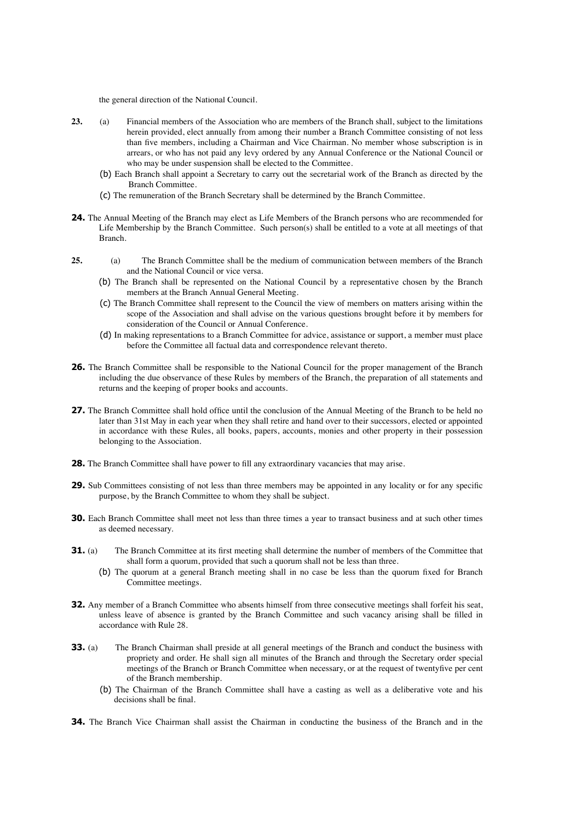the general direction of the National Council.

- **23.** (a) Financial members of the Association who are members of the Branch shall, subject to the limitations herein provided, elect annually from among their number a Branch Committee consisting of not less than five members, including a Chairman and Vice Chairman. No member whose subscription is in arrears, or who has not paid any levy ordered by any Annual Conference or the National Council or who may be under suspension shall be elected to the Committee.
	- (b) Each Branch shall appoint a Secretary to carry out the secretarial work of the Branch as directed by the Branch Committee.
	- (c) The remuneration of the Branch Secretary shall be determined by the Branch Committee.
- **24.** The Annual Meeting of the Branch may elect as Life Members of the Branch persons who are recommended for Life Membership by the Branch Committee. Such person(s) shall be entitled to a vote at all meetings of that Branch.
- **25.** (a) The Branch Committee shall be the medium of communication between members of the Branch and the National Council or vice versa.
	- (b) The Branch shall be represented on the National Council by a representative chosen by the Branch members at the Branch Annual General Meeting.
	- (c) The Branch Committee shall represent to the Council the view of members on matters arising within the scope of the Association and shall advise on the various questions brought before it by members for consideration of the Council or Annual Conference.
	- (d) In making representations to a Branch Committee for advice, assistance or support, a member must place before the Committee all factual data and correspondence relevant thereto.
- **26.** The Branch Committee shall be responsible to the National Council for the proper management of the Branch including the due observance of these Rules by members of the Branch, the preparation of all statements and returns and the keeping of proper books and accounts.
- **27.** The Branch Committee shall hold office until the conclusion of the Annual Meeting of the Branch to be held no later than 31st May in each year when they shall retire and hand over to their successors, elected or appointed in accordance with these Rules, all books, papers, accounts, monies and other property in their possession belonging to the Association.
- **28.** The Branch Committee shall have power to fill any extraordinary vacancies that may arise.
- **29.** Sub Committees consisting of not less than three members may be appointed in any locality or for any specific purpose, by the Branch Committee to whom they shall be subject.
- **30.** Each Branch Committee shall meet not less than three times a year to transact business and at such other times as deemed necessary.
- **31.** (a) The Branch Committee at its first meeting shall determine the number of members of the Committee that shall form a quorum, provided that such a quorum shall not be less than three.
	- (b) The quorum at a general Branch meeting shall in no case be less than the quorum fixed for Branch Committee meetings.
- **32.** Any member of a Branch Committee who absents himself from three consecutive meetings shall forfeit his seat, unless leave of absence is granted by the Branch Committee and such vacancy arising shall be filled in accordance with Rule 28.
- **33.** (a) The Branch Chairman shall preside at all general meetings of the Branch and conduct the business with propriety and order. He shall sign all minutes of the Branch and through the Secretary order special meetings of the Branch or Branch Committee when necessary, or at the request of twentyfive per cent of the Branch membership.
	- (b) The Chairman of the Branch Committee shall have a casting as well as a deliberative vote and his decisions shall be final.
- **34.** The Branch Vice Chairman shall assist the Chairman in conducting the business of the Branch and in the